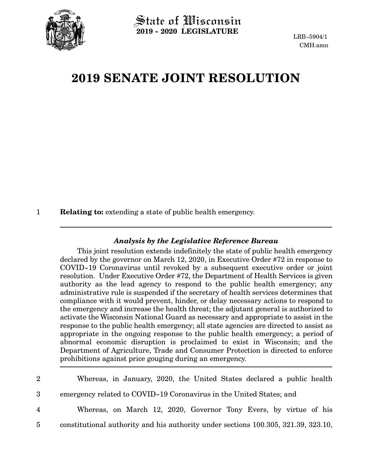

## **2019 SENATE JOINT RESOLUTION**

**Relating to:** extending a state of public health emergency. 1

## *Analysis by the Legislative Reference Bureau*

This joint resolution extends indefinitely the state of public health emergency declared by the governor on March 12, 2020, in Executive Order #72 in response to COVID-19 Coronavirus until revoked by a subsequent executive order or joint resolution. Under Executive Order #72, the Department of Health Services is given authority as the lead agency to respond to the public health emergency; any administrative rule is suspended if the secretary of health services determines that compliance with it would prevent, hinder, or delay necessary actions to respond to the emergency and increase the health threat; the adjutant general is authorized to activate the Wisconsin National Guard as necessary and appropriate to assist in the response to the public health emergency; all state agencies are directed to assist as appropriate in the ongoing response to the public health emergency; a period of abnormal economic disruption is proclaimed to exist in Wisconsin; and the Department of Agriculture, Trade and Consumer Protection is directed to enforce prohibitions against price gouging during an emergency.

| $2^{\circ}$    | Whereas, in January, 2020, the United States declared a public health              |
|----------------|------------------------------------------------------------------------------------|
| 3 <sup>1</sup> | emergency related to COVID-19 Coronavirus in the United States; and                |
| 4              | Whereas, on March 12, 2020, Governor Tony Evers, by virtue of his                  |
| $5^{\circ}$    | constitutional authority and his authority under sections 100.305, 321.39, 323.10, |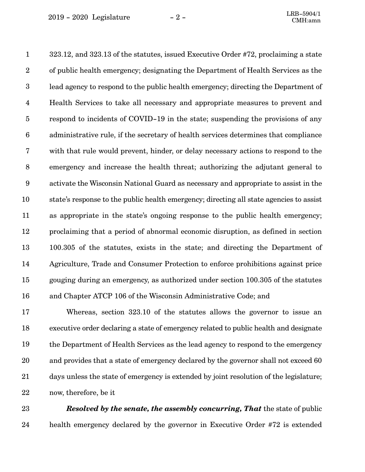323.12, and 323.13 of the statutes, issued Executive Order #72, proclaiming a state of public health emergency; designating the Department of Health Services as the lead agency to respond to the public health emergency; directing the Department of Health Services to take all necessary and appropriate measures to prevent and respond to incidents of COVID-19 in the state; suspending the provisions of any administrative rule, if the secretary of health services determines that compliance with that rule would prevent, hinder, or delay necessary actions to respond to the emergency and increase the health threat; authorizing the adjutant general to activate the Wisconsin National Guard as necessary and appropriate to assist in the state's response to the public health emergency; directing all state agencies to assist as appropriate in the state's ongoing response to the public health emergency; proclaiming that a period of abnormal economic disruption, as defined in section 100.305 of the statutes, exists in the state; and directing the Department of Agriculture, Trade and Consumer Protection to enforce prohibitions against price gouging during an emergency, as authorized under section 100.305 of the statutes and Chapter ATCP 106 of the Wisconsin Administrative Code; and 1 2 3 4 5 6 7 8 9 10 11 12 13 14 15 16

Whereas, section 323.10 of the statutes allows the governor to issue an executive order declaring a state of emergency related to public health and designate the Department of Health Services as the lead agency to respond to the emergency and provides that a state of emergency declared by the governor shall not exceed 60 days unless the state of emergency is extended by joint resolution of the legislature; now, therefore, be it 17 18 19 20 21 22

23

*Resolved by the senate, the assembly concurring, That* the state of public health emergency declared by the governor in Executive Order #72 is extended 24